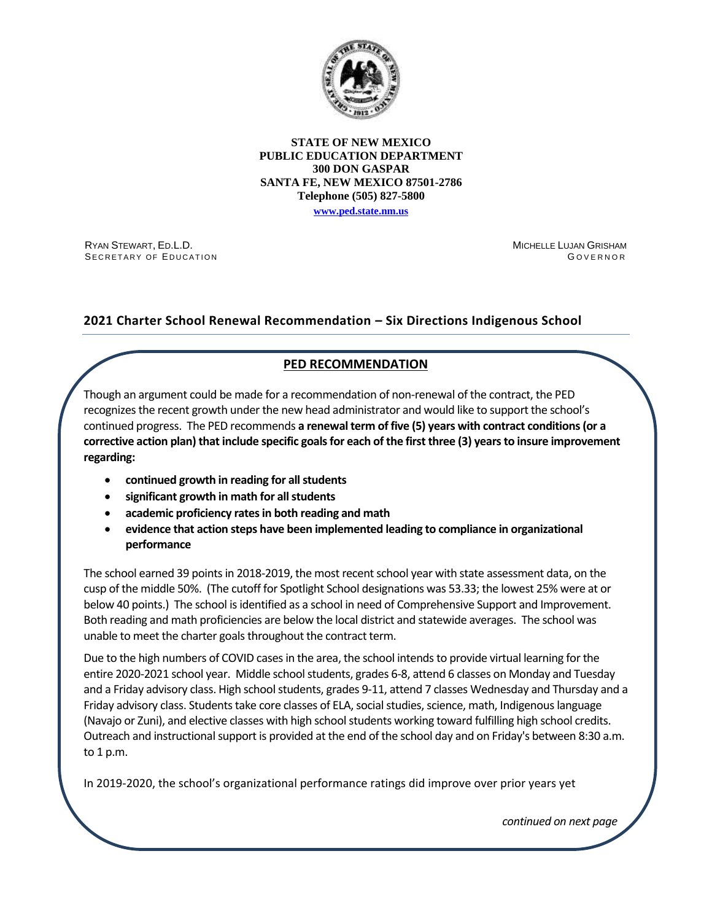

### **STATE OF NEW MEXICO PUBLIC EDUCATION DEPARTMENT 300 DON GASPAR SANTA FE, NEW MEXICO 87501-2786 Telephone (505) 827-5800**

**[www.ped.state.nm.us](http://webnew.ped.state.nm.us/)**

RYAN STEWART, ED.L.D. SECRETARY OF EDUCATION MICHELLE LUJAN GRISHAM **GOVERNOR** 

# **2021 Charter School Renewal Recommendation – Six Directions Indigenous School**

# **PED RECOMMENDATION**

Though an argument could be made for a recommendation of non-renewal of the contract, the PED recognizes the recent growth under the new head administrator and would like to support the school's continued progress. The PED recommends **a renewal term of five (5) years with contract conditions(or a corrective action plan) that include specific goals for each of the first three (3) years to insure improvement regarding:**

- **continued growth in reading for all students**
- **significant growth in math for all students**
- **academic proficiency ratesin both reading and math**
- **evidence that action steps have been implemented leading to compliance in organizational performance**

The school earned 39 points in 2018-2019, the most recent school year with state assessment data, on the cusp of the middle 50%. (The cutoff for Spotlight School designations was 53.33; the lowest 25% were at or below 40 points.) The school is identified as a school in need of Comprehensive Support and Improvement. Both reading and math proficiencies are below the local district and statewide averages. The school was unable to meet the charter goals throughout the contract term.

Due to the high numbers of COVID cases in the area, the school intends to provide virtual learning for the entire 2020-2021 school year. Middle school students, grades 6-8, attend 6 classes on Monday and Tuesday and a Friday advisory class. High school students, grades 9-11, attend 7 classes Wednesday and Thursday and a Friday advisory class. Students take core classes of ELA, social studies, science, math, Indigenous language (Navajo or Zuni), and elective classes with high school students working toward fulfilling high school credits. Outreach and instructional support is provided at the end of the school day and on Friday's between 8:30 a.m. to 1 p.m.

In 2019-2020, the school's organizational performance ratings did improve over prior years yet

*continued on next page*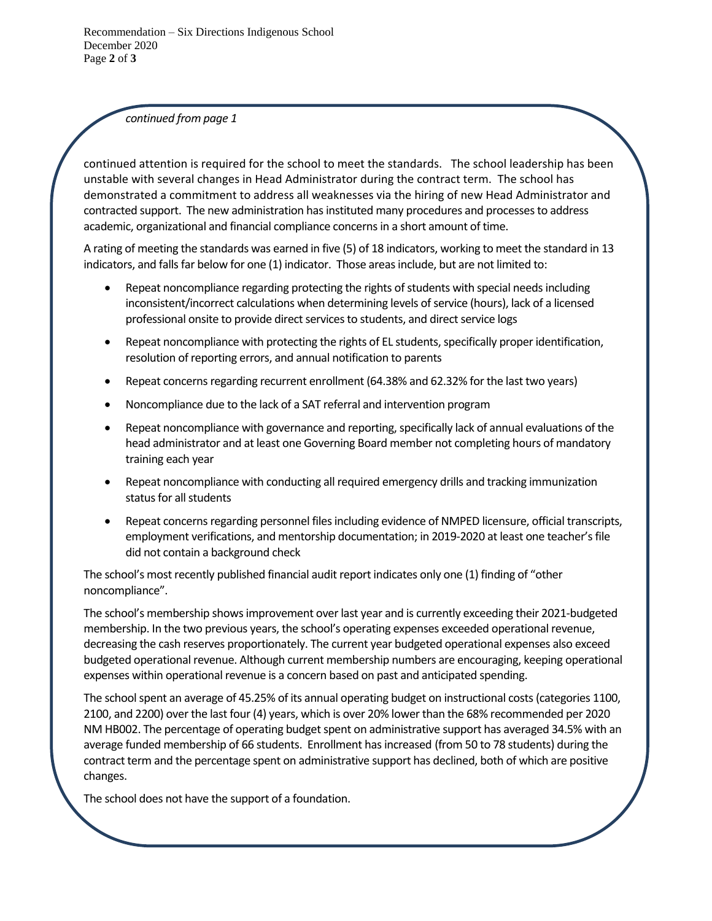*continued from page 1*

continued attention is required for the school to meet the standards. The school leadership has been unstable with several changes in Head Administrator during the contract term. The school has demonstrated a commitment to address all weaknesses via the hiring of new Head Administrator and contracted support. The new administration has instituted many procedures and processes to address academic, organizational and financial compliance concerns in a short amount of time.

A rating of meeting the standards was earned in five (5) of 18 indicators, working to meet the standard in 13 indicators, and falls far below for one (1) indicator. Those areas include, but are not limited to:

- Repeat noncompliance regarding protecting the rights of students with special needsincluding inconsistent/incorrect calculations when determining levels of service (hours), lack of a licensed professional onsite to provide direct services to students, and direct service logs
- Repeat noncompliance with protecting the rights of EL students, specifically proper identification, resolution of reporting errors, and annual notification to parents
- Repeat concerns regarding recurrent enrollment (64.38% and 62.32% for the last two years)
- Noncompliance due to the lack of a SAT referral and intervention program
- Repeat noncompliance with governance and reporting, specifically lack of annual evaluations of the head administrator and at least one Governing Board member not completing hours of mandatory training each year
- Repeat noncompliance with conducting all required emergency drills and tracking immunization status for all students
- Repeat concerns regarding personnel files including evidence of NMPED licensure, official transcripts, employment verifications, and mentorship documentation; in 2019-2020 at least one teacher's file did not contain a background check

The school's most recently published financial audit report indicates only one (1) finding of "other noncompliance".

The school's membership shows improvement over last year and is currently exceeding their 2021-budgeted membership. In the two previous years, the school's operating expenses exceeded operational revenue, decreasing the cash reserves proportionately. The current year budgeted operational expenses also exceed budgeted operational revenue. Although current membership numbers are encouraging, keeping operational expenses within operational revenue is a concern based on past and anticipated spending.

The school spent an average of 45.25% of its annual operating budget on instructional costs (categories 1100, 2100, and 2200) over the last four (4) years, which is over 20% lower than the 68% recommended per 2020 NM HB002. The percentage of operating budget spent on administrative support has averaged 34.5% with an average funded membership of 66 students. Enrollment has increased (from 50 to 78 students) during the contract term and the percentage spent on administrative support has declined, both of which are positive changes.

The school does not have the support of a foundation.